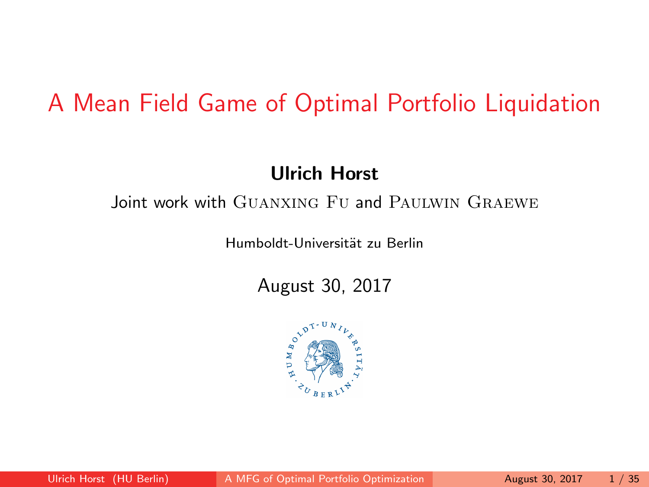# <span id="page-0-0"></span>A Mean Field Game of Optimal Portfolio Liquidation

### Ulrich Horst

### Joint work with GUANXING FU and PAULWIN GRAEWE

Humboldt-Universität zu Berlin

August 30, 2017

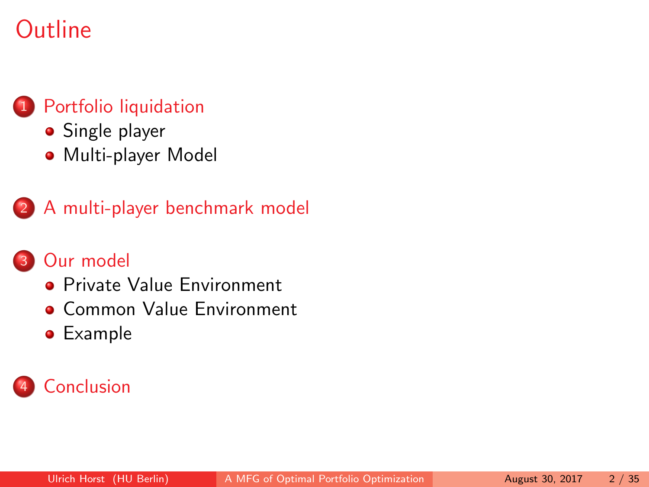# **Outline**

### [Portfolio liquidation](#page-2-0)

- [Single player](#page-4-0)
- **[Multi-player Model](#page-8-0)**

### 2 [A multi-player benchmark model](#page-12-0)

### 3 [Our model](#page-16-0)

- **[Private Value Environment](#page-21-0)**
- **[Common Value Environment](#page-37-0)**
- **•** [Example](#page-39-0)

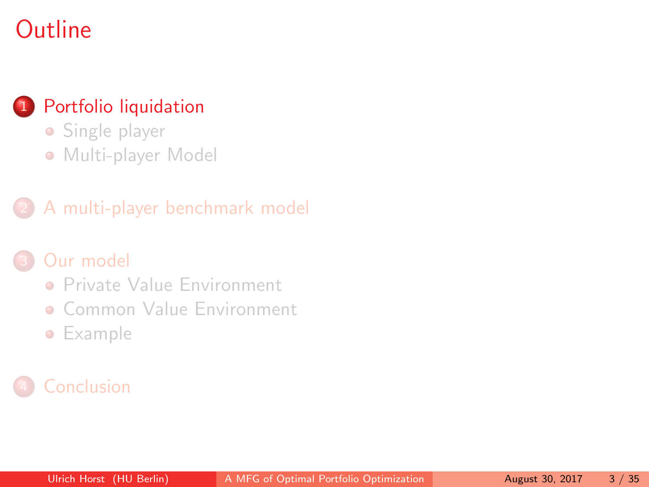# <span id="page-2-0"></span>**Outline**

### [Portfolio liquidation](#page-2-0)

- [Single player](#page-4-0)
- [Multi-player Model](#page-8-0)

### 2 [A multi-player benchmark model](#page-12-0)

### [Our model](#page-16-0)

- **[Private Value Environment](#page-21-0)**
- **[Common Value Environment](#page-37-0)**
- **•** [Example](#page-39-0)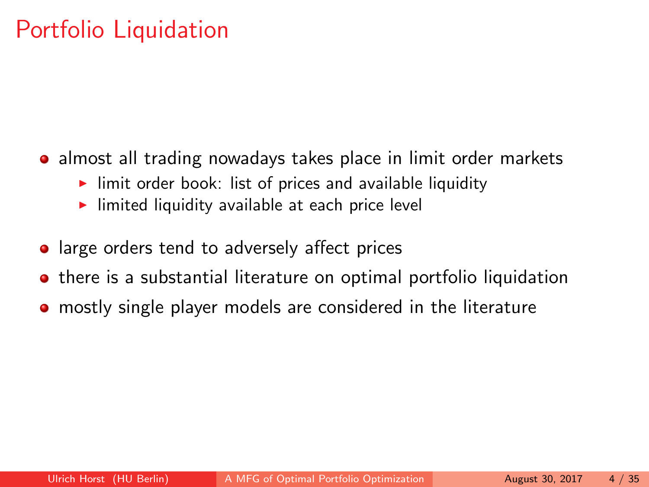# Portfolio Liquidation

- almost all trading nowadays takes place in limit order markets
	- $\blacktriangleright$  limit order book: list of prices and available liquidity
	- $\blacktriangleright$  limited liquidity available at each price level
- large orders tend to adversely affect prices
- **•** there is a substantial literature on optimal portfolio liquidation
- mostly single player models are considered in the literature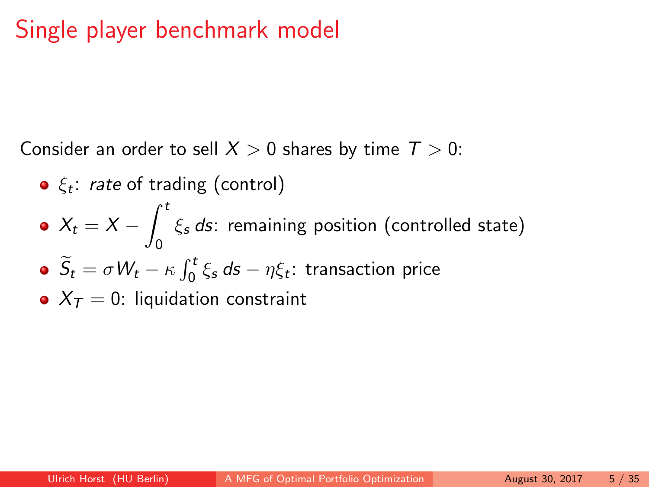# <span id="page-4-0"></span>Single player benchmark model

Consider an order to sell  $X > 0$  shares by time  $T > 0$ :

- $\xi_t$ : *rate* of trading (control)
- $X_t = X \int^t$ 0  $\xi_{\boldsymbol{s}}$  ds: remaining position (controlled state)  $\widetilde{S}_t = \sigma W_t - \kappa \int_0^t \xi_s \, ds - \eta \xi_t$ : transaction price
- $X_T = 0$ : liquidation constraint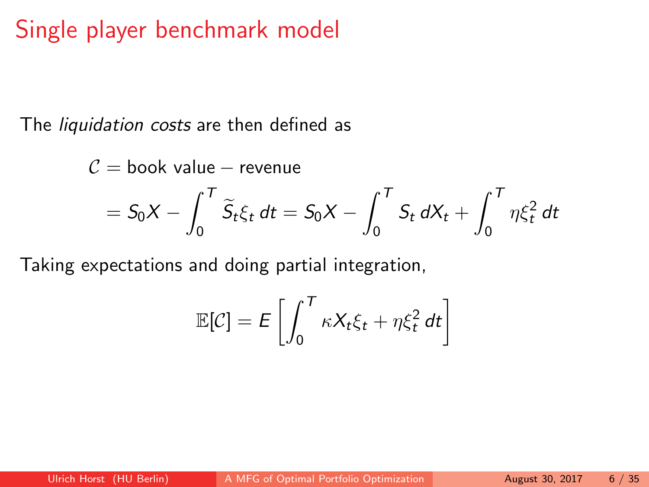# Single player benchmark model

The *liquidation costs* are then defined as

$$
C = \text{book value} - \text{revenue}
$$
  
=  $S_0 X - \int_0^T \widetilde{S}_t \xi_t dt = S_0 X - \int_0^T S_t dX_t + \int_0^T \eta \xi_t^2 dt$ 

Taking expectations and doing partial integration,

$$
\mathbb{E}[\mathcal{C}] = E\left[\int_0^T \kappa X_t \xi_t + \eta \xi_t^2 dt\right]
$$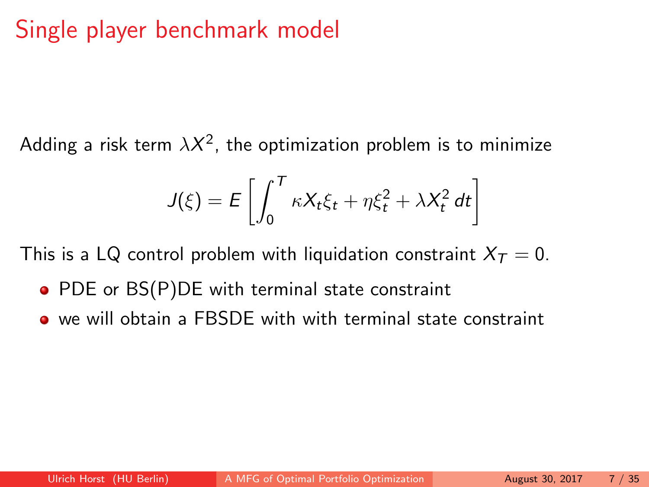# Single player benchmark model

Adding a risk term  $\lambda\mathcal{X}^2$ , the optimization problem is to minimize

$$
J(\xi) = E\left[\int_0^T \kappa X_t \xi_t + \eta \xi_t^2 + \lambda X_t^2 dt\right]
$$

This is a LQ control problem with liquidation constraint  $X_T = 0$ .

- PDE or BS(P)DE with terminal state constraint
- we will obtain a FBSDE with with terminal state constraint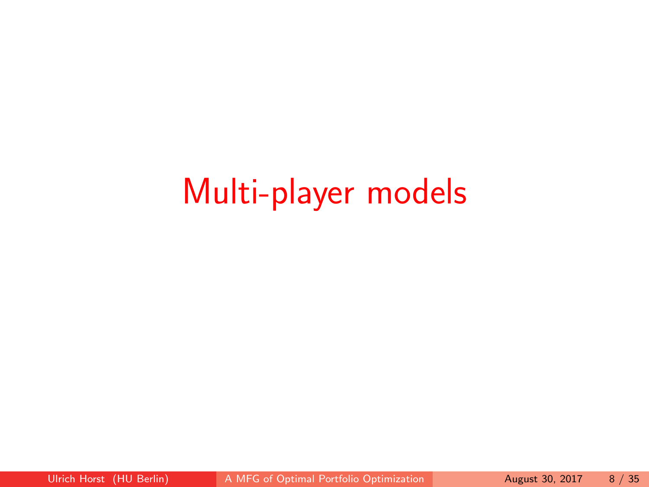# Multi-player models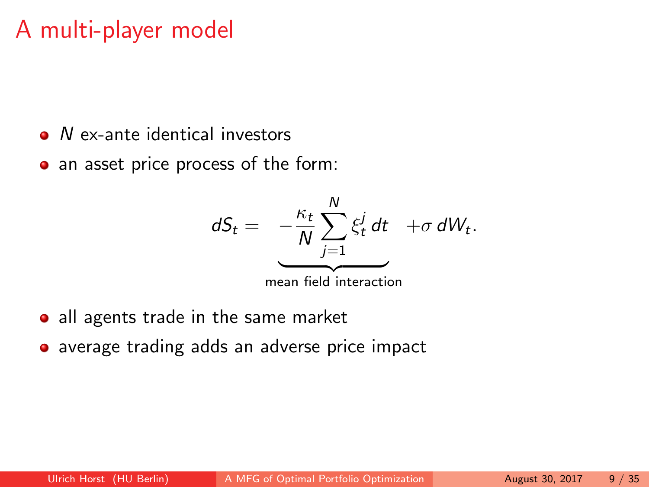- <span id="page-8-0"></span>• N ex-ante identical investors
- an asset price process of the form:  $\bullet$



- all agents trade in the same market
- average trading adds an adverse price impact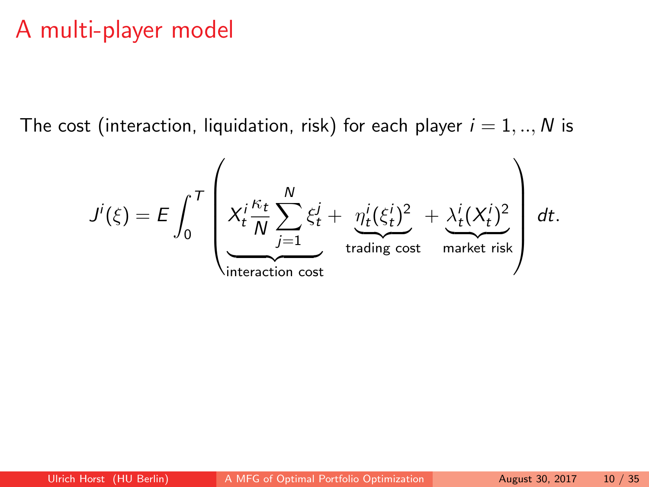The cost (interaction, liquidation, risk) for each player  $i = 1, ..., N$  is

$$
J^{i}(\xi) = E \int_{0}^{T} \left( X_{t}^{i} \frac{\kappa_{t}}{N} \sum_{j=1}^{N} \xi_{t}^{j} + \underbrace{\eta_{t}^{i}(\xi_{t}^{i})^{2}}_{\text{trading cost}} + \underbrace{\lambda_{t}^{i}(X_{t}^{i})^{2}}_{\text{market risk}} \right) dt.
$$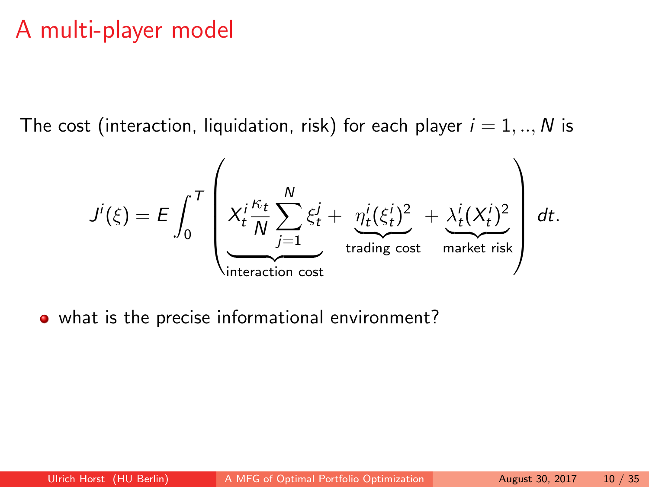The cost (interaction, liquidation, risk) for each player  $i = 1, ..., N$  is

$$
J^{i}(\xi) = E \int_{0}^{T} \left( X_{t}^{i} \frac{\kappa_{t}}{N} \sum_{j=1}^{N} \xi_{t}^{j} + \underbrace{\eta_{t}^{i}(\xi_{t}^{i})^{2}}_{\text{trading cost}} + \underbrace{\lambda_{t}^{i}(X_{t}^{i})^{2}}_{\text{market risk}} \right) dt.
$$

• what is the precise informational environment?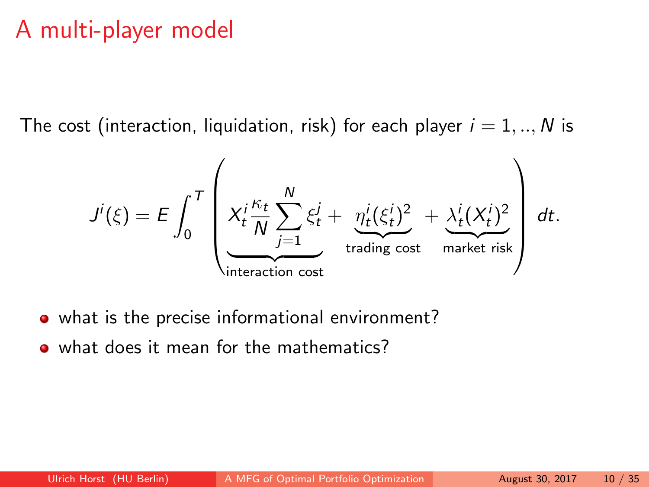The cost (interaction, liquidation, risk) for each player  $i = 1, ..., N$  is

$$
J^{i}(\xi) = E \int_{0}^{T} \left( X_{t}^{i} \frac{\kappa_{t}}{N} \sum_{j=1}^{N} \xi_{t}^{j} + \underbrace{\eta_{t}^{i}(\xi_{t}^{i})^{2}}_{\text{trading cost}} + \underbrace{\lambda_{t}^{i}(X_{t}^{i})^{2}}_{\text{market risk}} \right) dt.
$$

- what is the precise informational environment?
- what does it mean for the mathematics?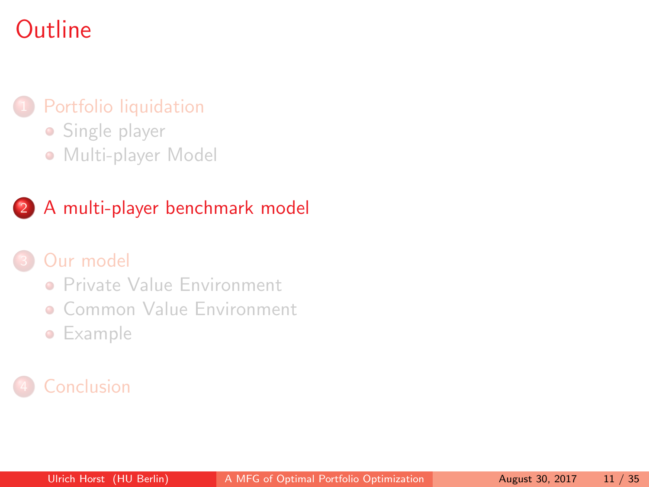# <span id="page-12-0"></span>**Outline**

### [Portfolio liquidation](#page-2-0)

- **•** [Single player](#page-4-0)
- [Multi-player Model](#page-8-0)

### 2 [A multi-player benchmark model](#page-12-0)

### [Our model](#page-16-0)

- **[Private Value Environment](#page-21-0)**
- **[Common Value Environment](#page-37-0)**
- **•** [Example](#page-39-0)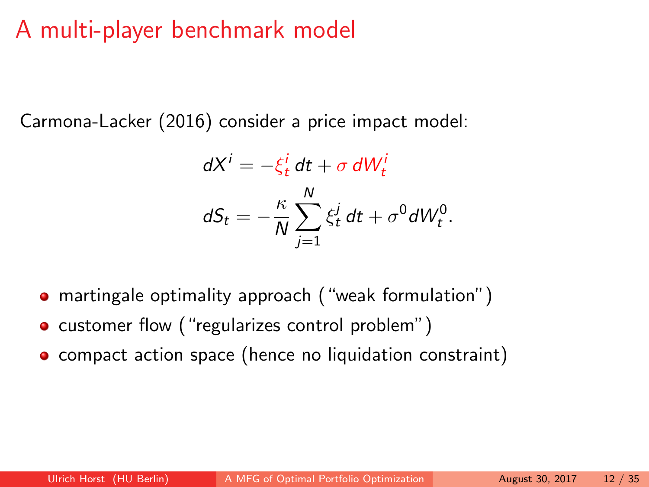# A multi-player benchmark model

Carmona-Lacker (2016) consider a price impact model:

$$
dX^{i} = -\xi_{t}^{i} dt + \sigma dW_{t}^{i}
$$

$$
dS_{t} = -\frac{\kappa}{N} \sum_{j=1}^{N} \xi_{t}^{j} dt + \sigma^{0} dW_{t}^{0}.
$$

- martingale optimality approach ("weak formulation")
- customer flow ("regularizes control problem")
- **•** compact action space (hence no liquidation constraint)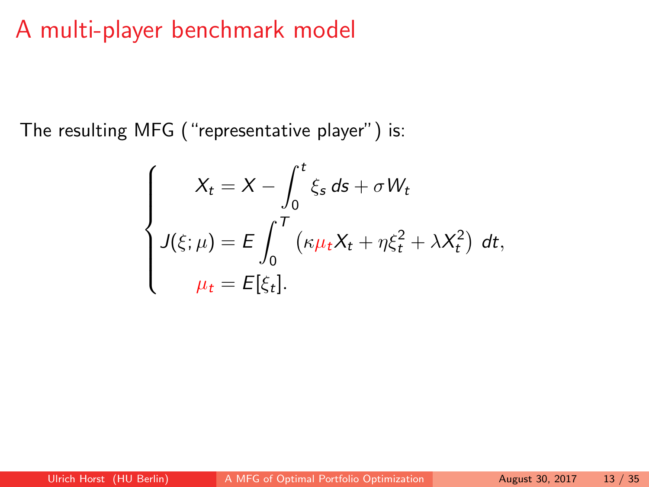# A multi-player benchmark model

The resulting MFG ("representative player") is:

$$
\begin{cases}\nX_t = X - \int_0^t \xi_s \, ds + \sigma W_t \\
J(\xi; \mu) = E \int_0^T \left(\kappa \mu_t X_t + \eta \xi_t^2 + \lambda X_t^2\right) \, dt, \\
\mu_t = E[\xi_t].\n\end{cases}
$$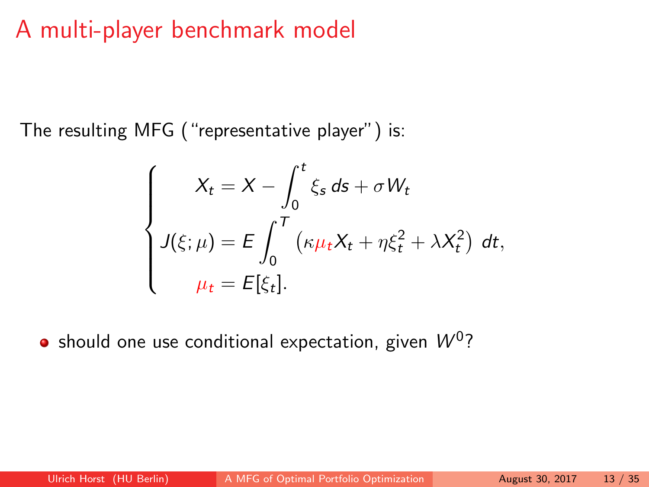# A multi-player benchmark model

The resulting MFG ("representative player") is:

$$
\begin{cases}\nX_t = X - \int_0^t \xi_s \, ds + \sigma W_t \\
J(\xi; \mu) = E \int_0^T \left(\kappa \mu_t X_t + \eta \xi_t^2 + \lambda X_t^2\right) \, dt, \\
\mu_t = E[\xi_t].\n\end{cases}
$$

should one use conditional expectation, given  $\mathcal{W}^0?$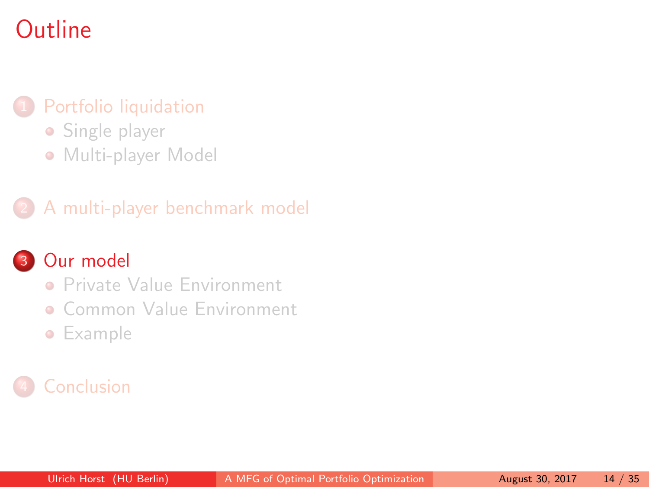# <span id="page-16-0"></span>**Outline**

### [Portfolio liquidation](#page-2-0)

- **•** [Single player](#page-4-0)
- [Multi-player Model](#page-8-0)

### 2 [A multi-player benchmark model](#page-12-0)

### 3 [Our model](#page-16-0)

- **[Private Value Environment](#page-21-0)**
- **[Common Value Environment](#page-37-0)**
- **•** [Example](#page-39-0)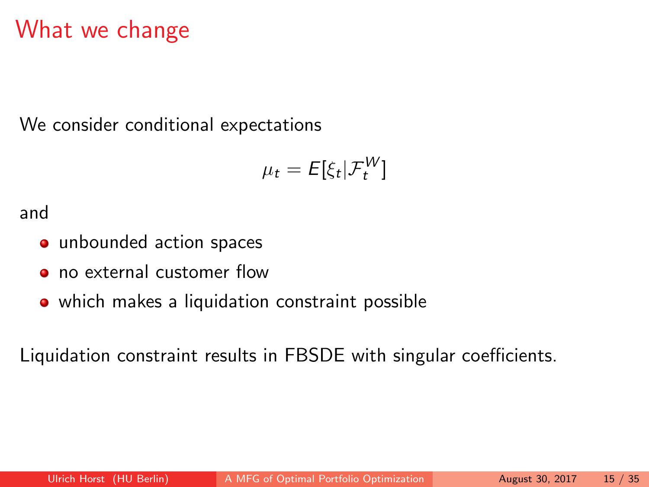# What we change

We consider conditional expectations

$$
\mu_t = E[\xi_t | \mathcal{F}_t^W]
$$

and

- unbounded action spaces
- no external customer flow
- which makes a liquidation constraint possible

Liquidation constraint results in FBSDE with singular coefficients.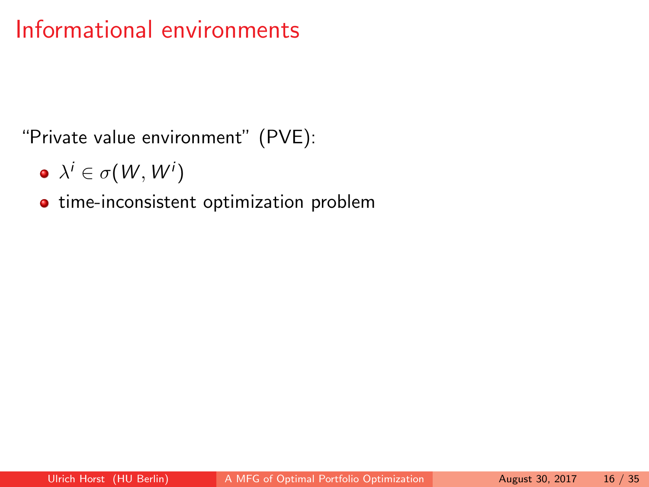# Informational environments

"Private value environment" (PVE):

 $\lambda^i \in \sigma(W,W^i)$ 

**·** time-inconsistent optimization problem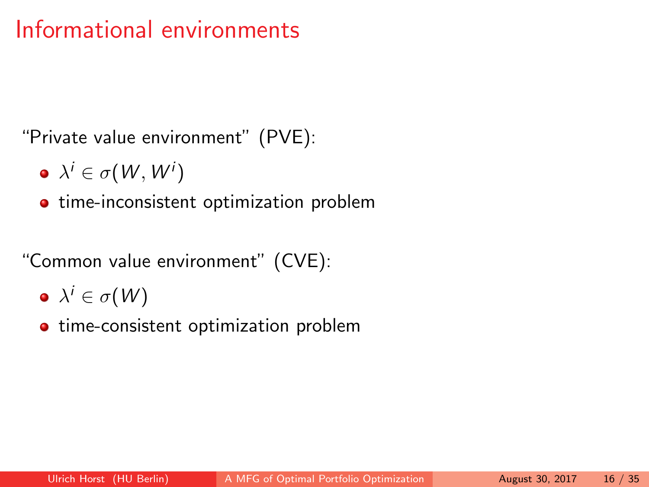# Informational environments

"Private value environment" (PVE):

- $\lambda^i \in \sigma(W,W^i)$
- **•** time-inconsistent optimization problem

"Common value environment" (CVE):

- $\lambda^i\in\sigma(\pmb{\mathcal{W}})$
- **•** time-consistent optimization problem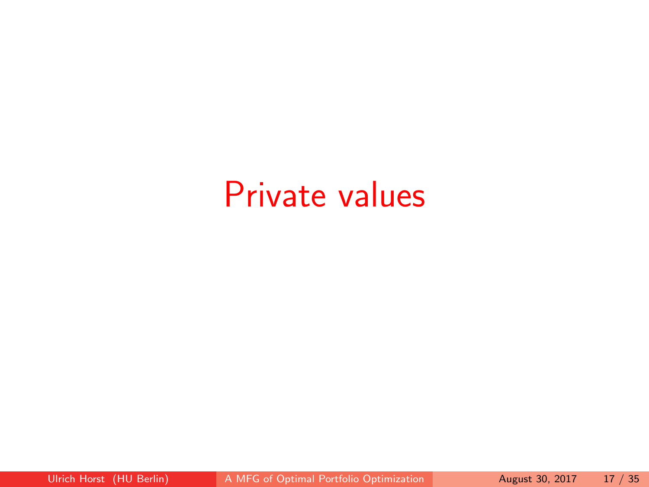# Private values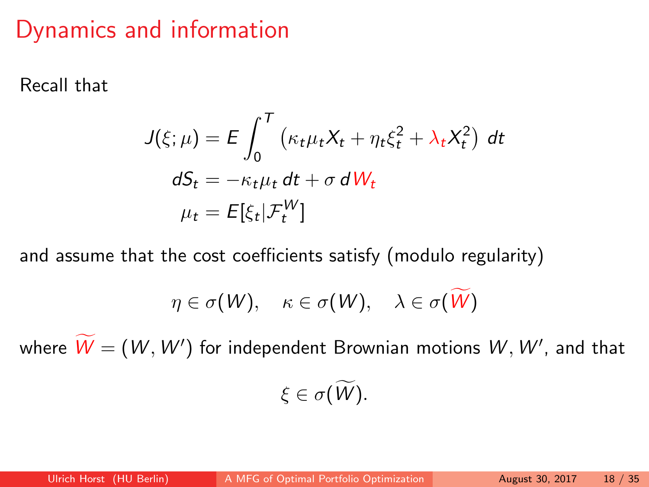# <span id="page-21-0"></span>Dynamics and information

Recall that

$$
J(\xi; \mu) = E \int_0^T \left( \kappa_t \mu_t X_t + \eta_t \xi_t^2 + \lambda_t X_t^2 \right) dt
$$
  

$$
dS_t = -\kappa_t \mu_t dt + \sigma dW_t
$$
  

$$
\mu_t = E[\xi_t | \mathcal{F}_t^W]
$$

and assume that the cost coefficients satisfy (modulo regularity)

$$
\eta \in \sigma(W), \quad \kappa \in \sigma(W), \quad \lambda \in \sigma(W)
$$

where  $\dot{W} = (W, W')$  for independent Brownian motions  $W, W'$ , and that  $\xi \in \sigma(\widetilde{W})$ .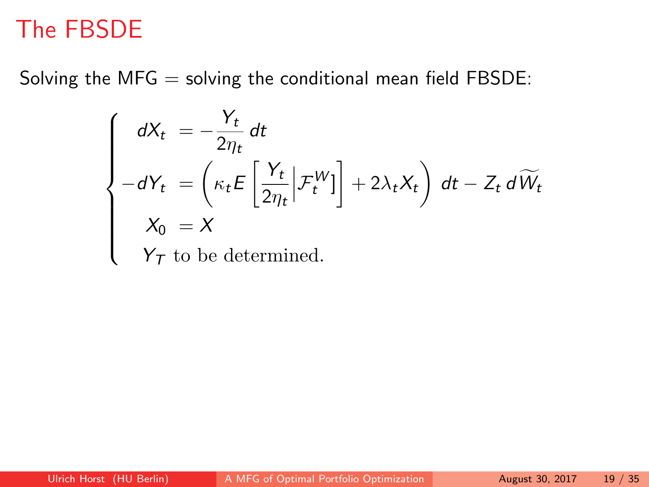# The FBSDE

Solving the  $MFG =$  solving the conditional mean field FBSDE:

$$
\begin{cases}\n dX_t = -\frac{Y_t}{2\eta_t} dt \\
 -dY_t = \left(\kappa_t E\left[\frac{Y_t}{2\eta_t} \middle| \mathcal{F}_t^W \right]\right] + 2\lambda_t X_t\right) dt - Z_t d\widetilde{W}_t \\
 X_0 = X \\
 Y_T \text{ to be determined.} \n\end{cases}
$$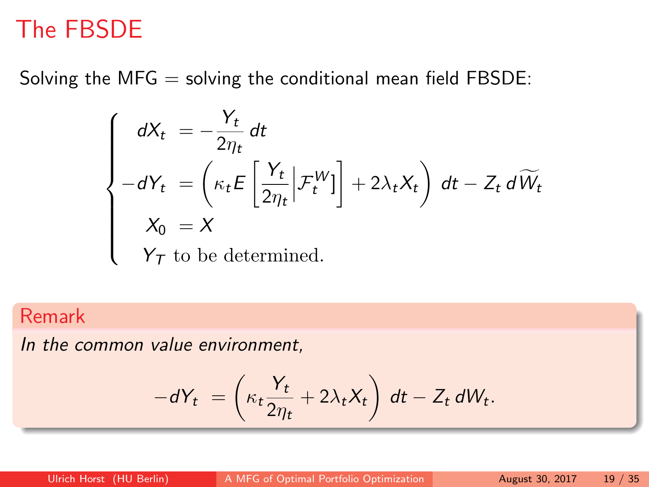# The FBSDE

Solving the  $MFG =$  solving the conditional mean field FBSDE:

$$
\begin{cases}\n dX_t = -\frac{Y_t}{2\eta_t} dt \\
 -dY_t = \left(\kappa_t E\left[\frac{Y_t}{2\eta_t} \middle| \mathcal{F}_t^W \right]\right] + 2\lambda_t X_t\right) dt - Z_t d\widetilde{W}_t \\
 X_0 = X \\
 Y_T \text{ to be determined.} \n\end{cases}
$$

### Remark

In the common value environment,

$$
-dY_t = \left(\kappa_t \frac{Y_t}{2\eta_t} + 2\lambda_t X_t\right) dt - Z_t dW_t.
$$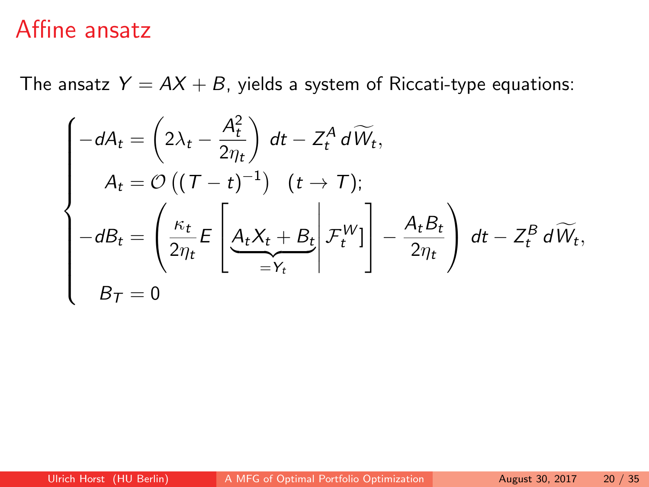The ansatz  $Y = AX + B$ , yields a system of Riccati-type equations:

$$
\begin{cases}\n-dA_t = \left(2\lambda_t - \frac{A_t^2}{2\eta_t}\right) dt - Z_t^A d\widetilde{W}_t, \\
A_t = \mathcal{O}\left((T-t)^{-1}\right) \quad (t \to T); \\
-dB_t = \left(\frac{\kappa_t}{2\eta_t} E\left[\frac{A_t X_t + B_t}{-Y_t}\bigg| \mathcal{F}_t^W\right]\right] - \frac{A_t B_t}{2\eta_t}\right) dt - Z_t^B d\widetilde{W}_t, \\
B_T = 0\n\end{cases}
$$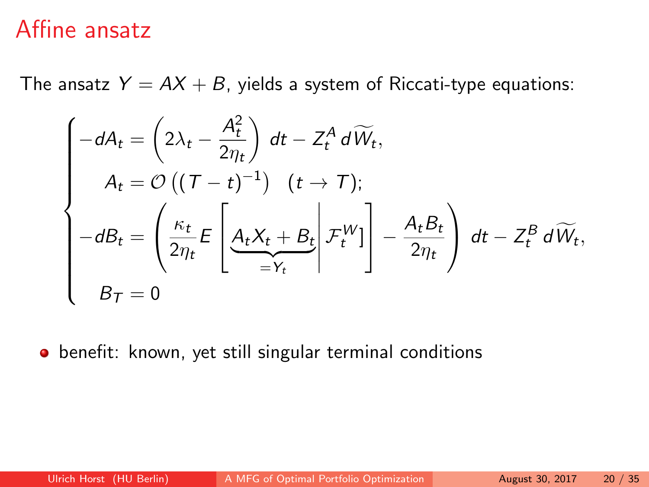The ansatz  $Y = AX + B$ , yields a system of Riccati-type equations:

$$
\begin{cases}\n-dA_t = \left(2\lambda_t - \frac{A_t^2}{2\eta_t}\right) dt - Z_t^A d\widetilde{W}_t, \\
A_t = \mathcal{O}\left((T-t)^{-1}\right) \quad (t \to T); \\
-dB_t = \left(\frac{\kappa_t}{2\eta_t} E\left[\frac{A_t X_t + B_t}{-Y_t}\bigg|\mathcal{F}_t^W\right]\right] - \frac{A_t B_t}{2\eta_t}\right) dt - Z_t^B d\widetilde{W}_t, \\
B_T = 0\n\end{cases}
$$

**•** benefit: known, yet still singular terminal conditions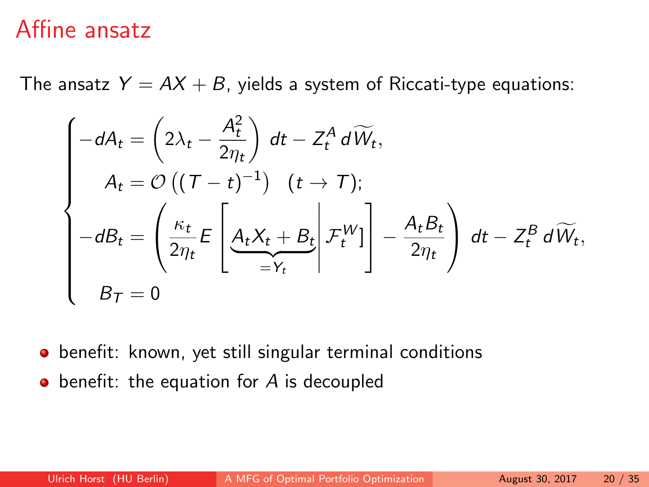The ansatz  $Y = AX + B$ , yields a system of Riccati-type equations:

$$
\begin{cases}\n-dA_t = \left(2\lambda_t - \frac{A_t^2}{2\eta_t}\right) dt - Z_t^A d\widetilde{W}_t, \\
A_t = \mathcal{O}\left((T-t)^{-1}\right) \quad (t \to T); \\
-dB_t = \left(\frac{\kappa_t}{2\eta_t} E\left[\frac{A_t X_t + B_t}{-Y_t}\bigg|\mathcal{F}_t^W\right]\right] - \frac{A_t B_t}{2\eta_t}\right) dt - Z_t^B d\widetilde{W}_t, \\
B_T = 0\n\end{cases}
$$

**•** benefit: known, yet still singular terminal conditions

 $\bullet$  benefit: the equation for A is decoupled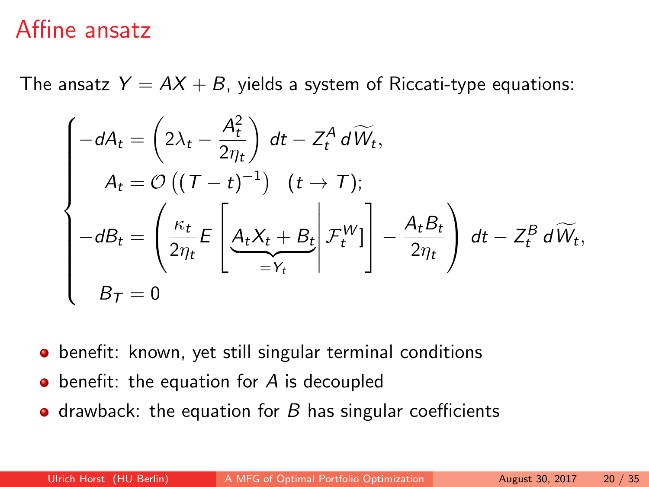The ansatz  $Y = AX + B$ , yields a system of Riccati-type equations:

$$
\begin{cases}\n-dA_t = \left(2\lambda_t - \frac{A_t^2}{2\eta_t}\right) dt - Z_t^A d\widetilde{W}_t, \\
A_t = \mathcal{O}\left((T-t)^{-1}\right) \quad (t \to T); \\
-dB_t = \left(\frac{\kappa_t}{2\eta_t} E\left[\frac{A_t X_t + B_t}{-Y_t}\bigg|\mathcal{F}_t^W]\right] - \frac{A_t B_t}{2\eta_t}\right) dt - Z_t^B d\widetilde{W}_t, \\
B_T = 0\n\end{cases}
$$

- **•** benefit: known, yet still singular terminal conditions
- benefit: the equation for A is decoupled
- drawback: the equation for  $B$  has singular coefficients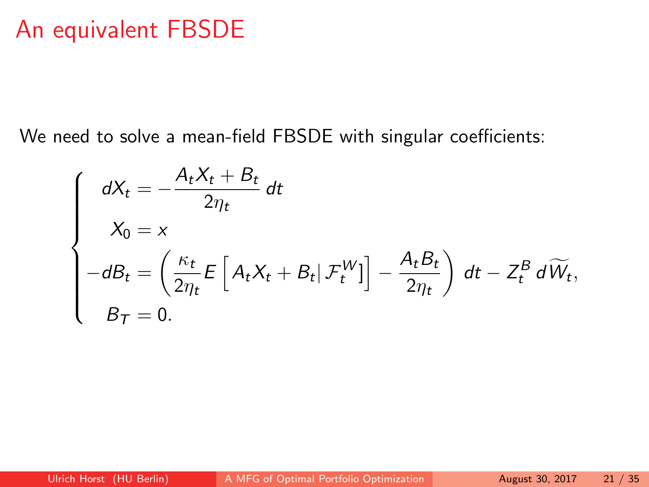## An equivalent FBSDE

We need to solve a mean-field FBSDE with singular coefficients:

$$
\begin{cases}\n dX_t = -\frac{A_t X_t + B_t}{2\eta_t} dt \\
 X_0 = x \\
 -dB_t = \left( \frac{\kappa_t}{2\eta_t} E\left[ A_t X_t + B_t | \mathcal{F}_t^W \right] \right] - \frac{A_t B_t}{2\eta_t} \right) dt - Z_t^B d\widetilde{W}_t, \\
 B_T = 0.\n\end{cases}
$$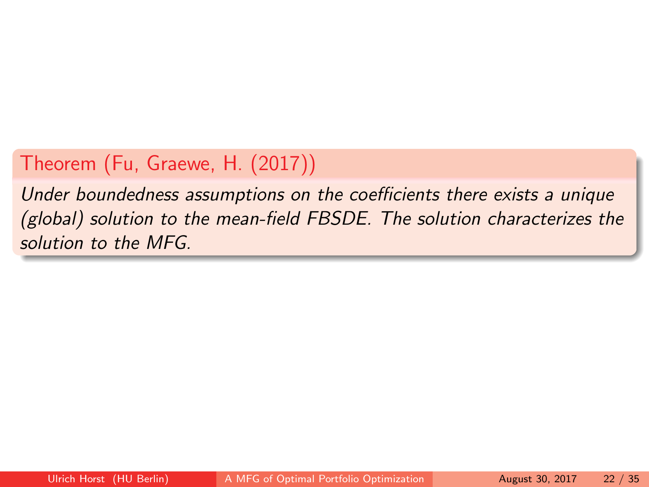## Theorem (Fu, Graewe, H. (2017))

Under boundedness assumptions on the coefficients there exists a unique (global) solution to the mean-field FBSDE. The solution characterizes the solution to the MFG.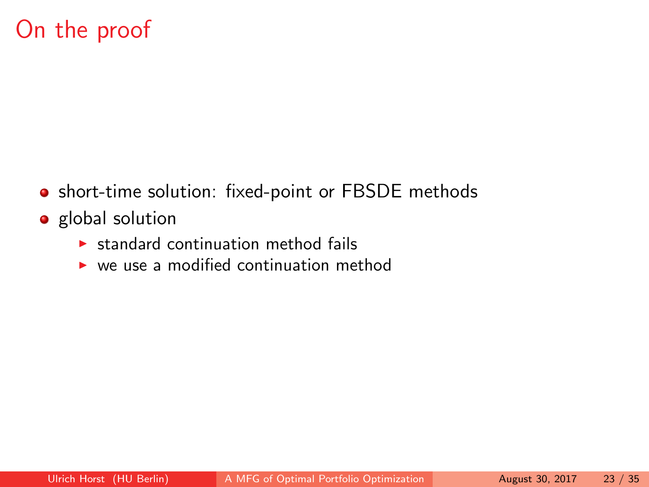# On the proof

- short-time solution: fixed-point or FBSDE methods
- **•** global solution
	- $\triangleright$  standard continuation method fails
	- $\triangleright$  we use a modified continuation method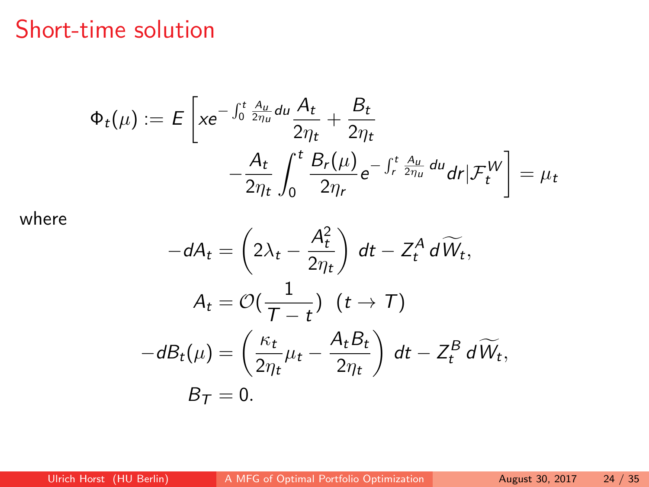# Short-time solution

$$
\Phi_t(\mu) := E\left[ x e^{-\int_0^t \frac{A_u}{2\eta_u} du} \frac{A_t}{2\eta_t} + \frac{B_t}{2\eta_t} -\frac{A_t}{2\eta_t} \int_0^t \frac{B_r(\mu)}{2\eta_r} e^{-\int_r^t \frac{A_u}{2\eta_u} du} dr | \mathcal{F}_t^W \right] = \mu_t
$$

where

$$
-dA_t = \left(2\lambda_t - \frac{A_t^2}{2\eta_t}\right) dt - Z_t^A d\widetilde{W}_t,
$$
  
\n
$$
A_t = \mathcal{O}\left(\frac{1}{\mathcal{T} - t}\right) (t \to \mathcal{T})
$$
  
\n
$$
-dB_t(\mu) = \left(\frac{\kappa_t}{2\eta_t}\mu_t - \frac{A_t B_t}{2\eta_t}\right) dt - Z_t^B d\widetilde{W}_t,
$$
  
\n
$$
B_{\mathcal{T}} = 0.
$$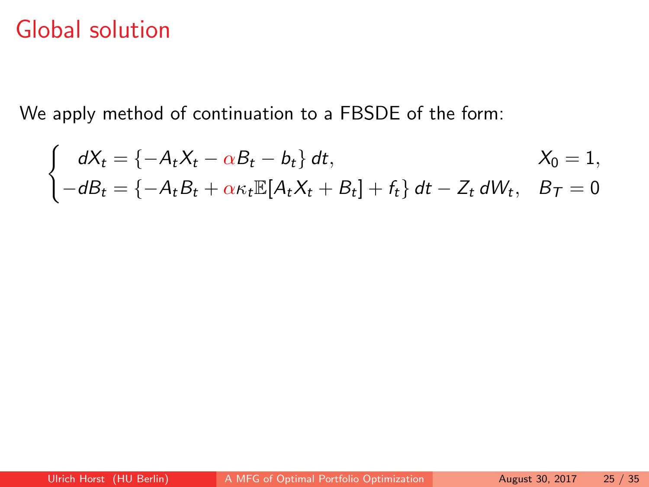# Global solution

We apply method of continuation to a FBSDE of the form:

$$
\begin{cases}\ndX_t = \{-A_t X_t - \alpha B_t - b_t\} dt, & X_0 = 1, \\
-dB_t = \{-A_t B_t + \alpha \kappa_t \mathbb{E}[A_t X_t + B_t] + f_t\} dt - Z_t dW_t, & B_T = 0\n\end{cases}
$$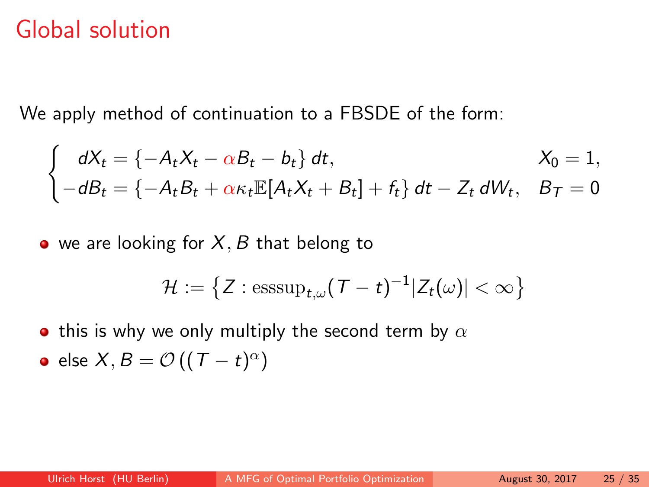# Global solution

We apply method of continuation to a FBSDE of the form:

$$
\begin{cases}\ndX_t = \{-A_tX_t - \alpha B_t - b_t\} dt, & X_0 = 1, \\
-dB_t = \{-A_tB_t + \alpha \kappa_t \mathbb{E}[A_tX_t + B_t] + f_t\} dt - Z_t dW_t, & B_T = 0\n\end{cases}
$$

 $\bullet$  we are looking for X, B that belong to

$$
\mathcal{H}:=\left\{Z: \text{esssup}_{t,\omega}(T-t)^{-1}|Z_t(\omega)|<\infty\right\}
$$

• this is why we only multiply the second term by  $\alpha$ 

• else 
$$
X, B = \mathcal{O}((T - t)^{\alpha})
$$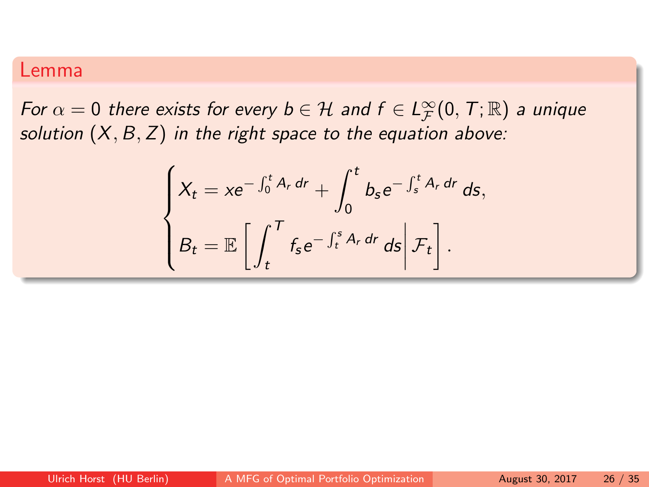### Lemma

For  $\alpha = 0$  there exists for every  $b \in \mathcal{H}$  and  $f \in L^{\infty}_{\mathcal{F}}(0,\,T;\mathbb{R})$  a unique solution  $(X, B, Z)$  in the right space to the equation above:

$$
\begin{cases}\nX_t = xe^{-\int_0^t A_r dr} + \int_0^t b_s e^{-\int_s^t A_r dr} ds, \\
B_t = \mathbb{E}\left[\int_t^T f_s e^{-\int_t^s A_r dr} ds \middle| \mathcal{F}_t\right].\n\end{cases}
$$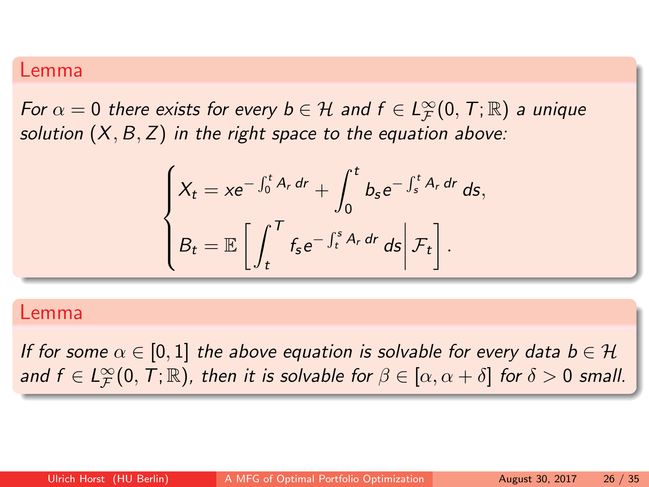### Lemma

For  $\alpha = 0$  there exists for every  $b \in \mathcal{H}$  and  $f \in L^{\infty}_{\mathcal{F}}(0,\,T;\mathbb{R})$  a unique solution  $(X, B, Z)$  in the right space to the equation above:

$$
\begin{cases}\nX_t = xe^{-\int_0^t A_r dr} + \int_0^t b_s e^{-\int_s^t A_r dr} ds, \\
B_t = \mathbb{E}\left[\int_t^T f_s e^{-\int_t^s A_r dr} ds \middle| \mathcal{F}_t\right].\n\end{cases}
$$

### Lemma

If for some  $\alpha \in [0,1]$  the above equation is solvable for every data  $b \in \mathcal{H}$ and  $f\in L^\infty_\mathcal{F}(0,\,T;\mathbb{R})$ , then it is solvable for  $\beta\in[\alpha,\alpha+\delta]$  for  $\delta>0$  small.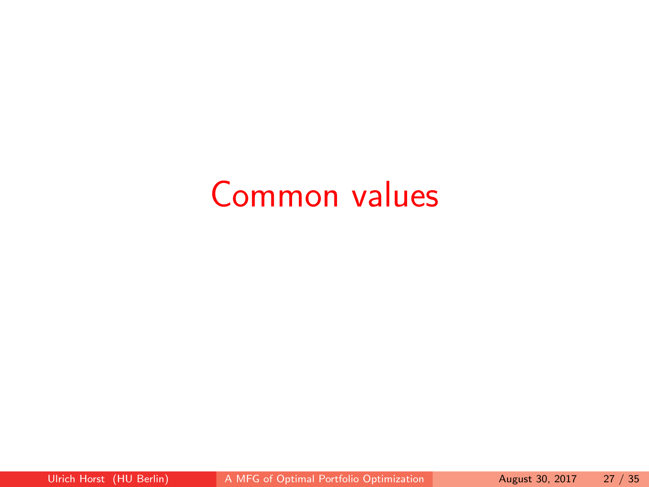# Common values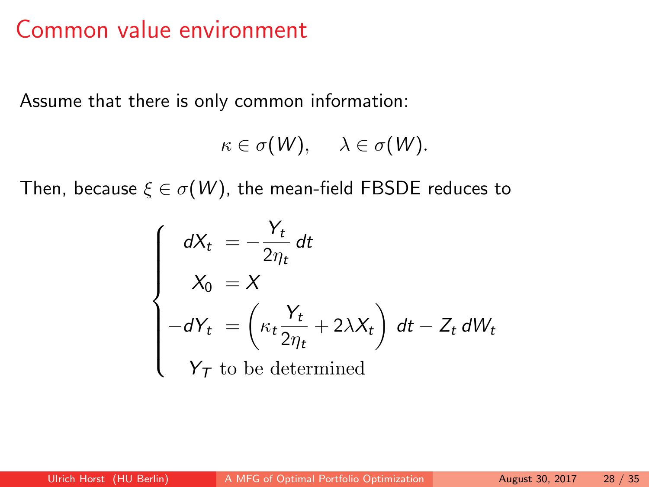# <span id="page-37-0"></span>Common value environment

Assume that there is only common information:

$$
\kappa \in \sigma(W), \quad \lambda \in \sigma(W).
$$

Then, because  $\xi \in \sigma(W)$ , the mean-field FBSDE reduces to

$$
\begin{cases}\n dX_t = -\frac{Y_t}{2\eta_t} dt \\
 X_0 = X \\
 -dY_t = \left(\kappa_t \frac{Y_t}{2\eta_t} + 2\lambda X_t\right) dt - Z_t dW_t \\
 Y_T \text{ to be determined}\n\end{cases}
$$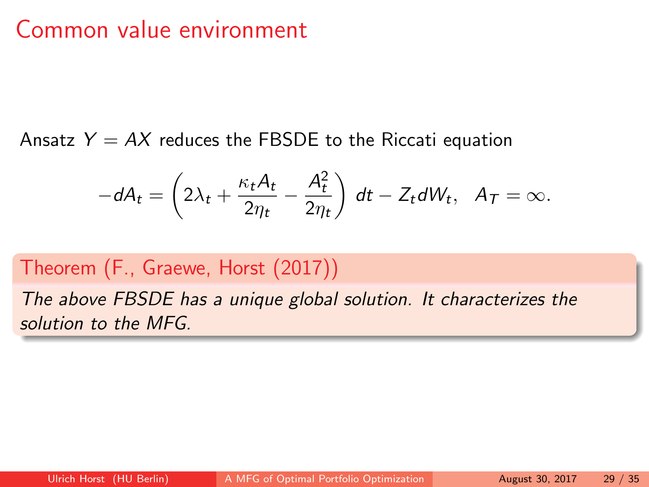# Common value environment

Ansatz  $Y = AX$  reduces the FBSDE to the Riccati equation

$$
-dA_t=\left(2\lambda_t+\frac{\kappa_tA_t}{2\eta_t}-\frac{A_t^2}{2\eta_t}\right) dt-Z_tdW_t, \ \ A_T=\infty.
$$

### Theorem (F., Graewe, Horst (2017))

The above FBSDE has a unique global solution. It characterizes the solution to the MFG.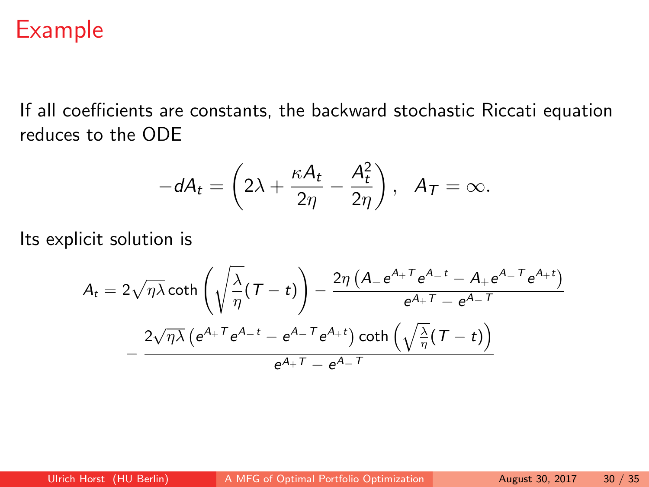# <span id="page-39-0"></span>Example

If all coefficients are constants, the backward stochastic Riccati equation reduces to the ODE

$$
-dA_t = \left(2\lambda + \frac{\kappa A_t}{2\eta} - \frac{A_t^2}{2\eta}\right), \ \ A_T = \infty.
$$

Its explicit solution is

$$
A_t = 2\sqrt{\eta\lambda}\coth\left(\sqrt{\frac{\lambda}{\eta}}(T-t)\right) - \frac{2\eta\left(A - e^{A_+T}e^{A_-t} - A_+e^{A_-T}e^{A_+t}\right)}{e^{A_+T} - e^{A_-T}}
$$

$$
-\frac{2\sqrt{\eta\lambda}\left(e^{A_+T}e^{A_-t} - e^{A_-T}e^{A_+t}\right)\coth\left(\sqrt{\frac{\lambda}{\eta}}(T-t)\right)}{e^{A_+T} - e^{A_-T}}
$$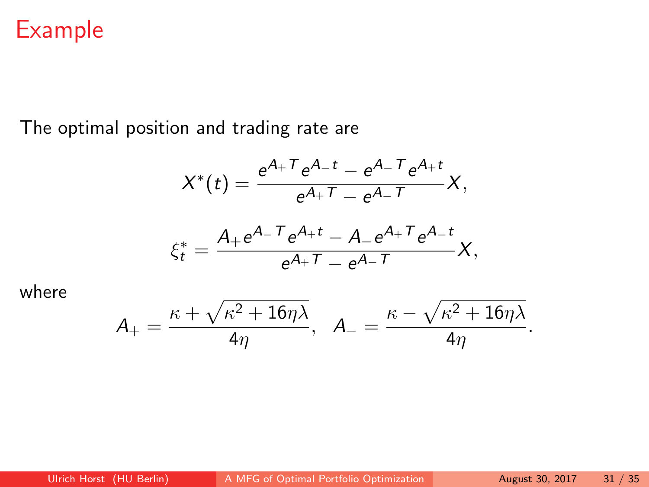# Example

The optimal position and trading rate are

$$
X^{*}(t) = \frac{e^{A_{+}T}e^{A_{-}t} - e^{A_{-}T}e^{A_{+}t}}{e^{A_{+}T} - e^{A_{-}T}}X,
$$

$$
\xi_t^* = \frac{A_+ e^{A_-T} e^{A_+t} - A_- e^{A_+T} e^{A_-t}}{e^{A_+T} - e^{A_-T}} X,
$$

where

$$
\mathcal{A}_+=\frac{\kappa+\sqrt{\kappa^2+16\eta\lambda}}{4\eta},\quad \mathcal{A}_-=\frac{\kappa-\sqrt{\kappa^2+16\eta\lambda}}{4\eta}.
$$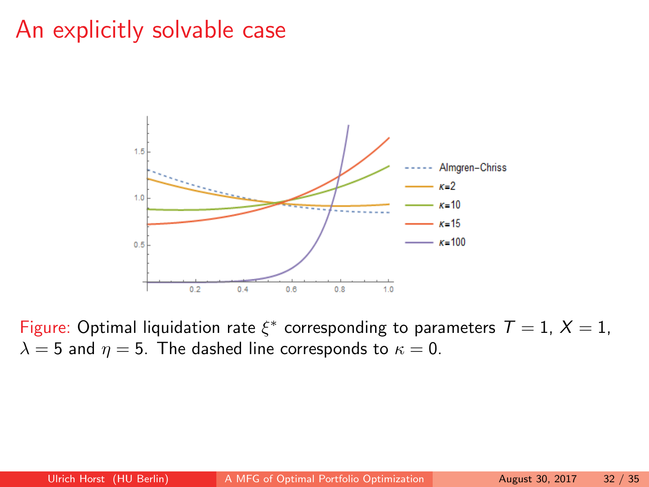# An explicitly solvable case



Figure: Optimal liquidation rate  $\xi^*$  corresponding to parameters  $T = 1$ ,  $X = 1$ ,  $\lambda = 5$  and  $\eta = 5$ . The dashed line corresponds to  $\kappa = 0$ .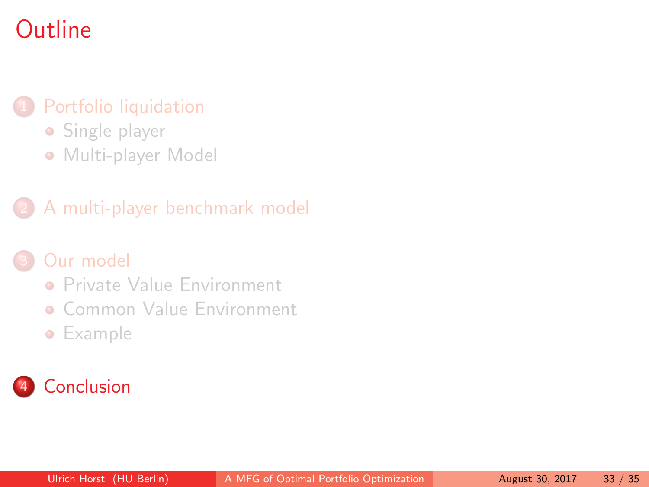# <span id="page-42-0"></span>**Outline**

### [Portfolio liquidation](#page-2-0)

- **•** [Single player](#page-4-0)
- [Multi-player Model](#page-8-0)

### 2 [A multi-player benchmark model](#page-12-0)

### [Our model](#page-16-0)

- **[Private Value Environment](#page-21-0)**
- **[Common Value Environment](#page-37-0)**
- **•** [Example](#page-39-0)

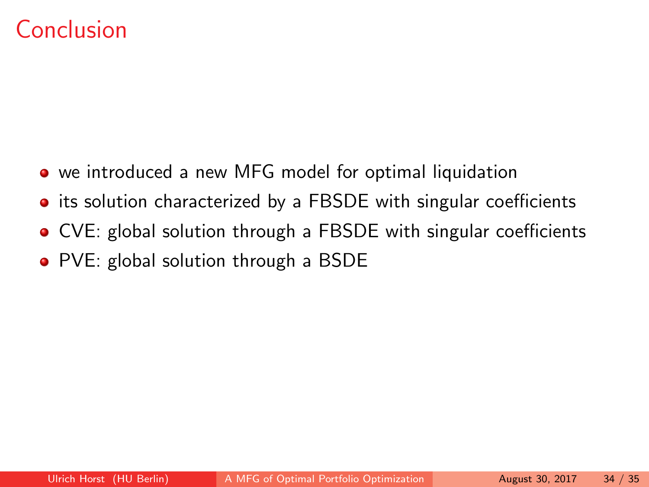# Conclusion

- we introduced a new MFG model for optimal liquidation
- its solution characterized by a FBSDE with singular coefficients
- CVE: global solution through a FBSDE with singular coefficients
- PVE: global solution through a BSDE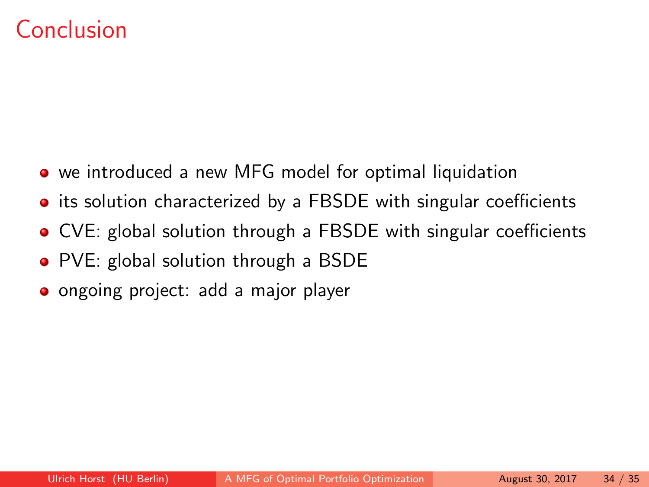# Conclusion

- we introduced a new MFG model for optimal liquidation
- its solution characterized by a FBSDE with singular coefficients
- CVE: global solution through a FBSDE with singular coefficients
- PVE: global solution through a BSDE
- **•** ongoing project: add a major player